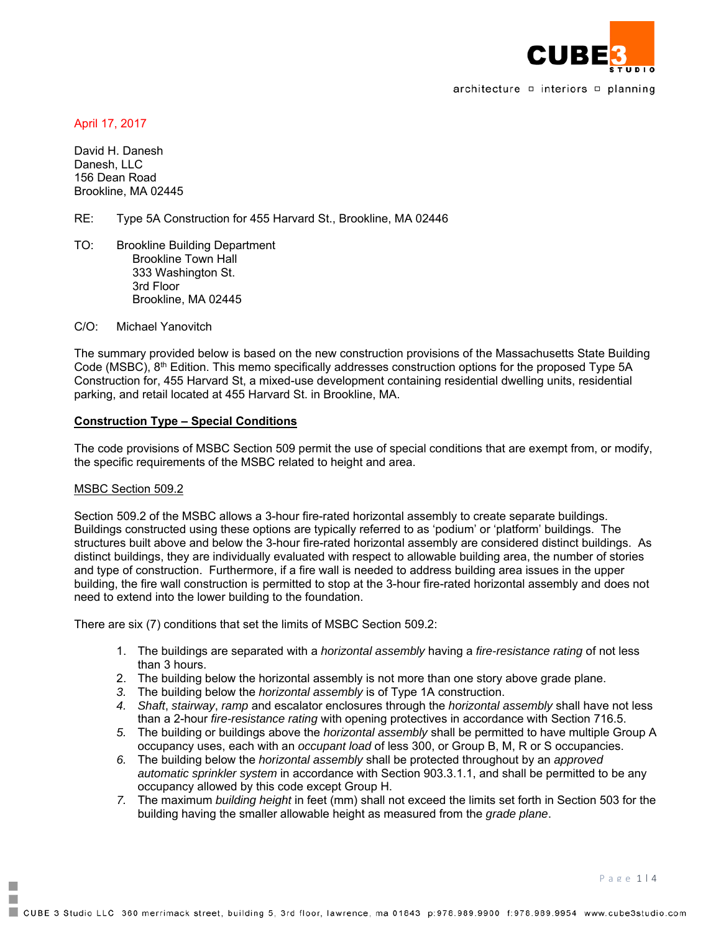

architecture  $\Box$  interiors  $\Box$  planning

April 17, 2017

David H. Danesh Danesh, LLC 156 Dean Road Brookline, MA 02445

RE: Type 5A Construction for 455 Harvard St., Brookline, MA 02446

TO: Brookline Building Department Brookline Town Hall 333 Washington St. 3rd Floor Brookline, MA 02445

C/O: Michael Yanovitch

The summary provided below is based on the new construction provisions of the Massachusetts State Building Code (MSBC), 8<sup>th</sup> Edition. This memo specifically addresses construction options for the proposed Type 5A Construction for, 455 Harvard St, a mixed-use development containing residential dwelling units, residential parking, and retail located at 455 Harvard St. in Brookline, MA.

#### **Construction Type – Special Conditions**

The code provisions of MSBC Section 509 permit the use of special conditions that are exempt from, or modify, the specific requirements of the MSBC related to height and area.

#### MSBC Section 509.2

F. п Section 509.2 of the MSBC allows a 3-hour fire-rated horizontal assembly to create separate buildings. Buildings constructed using these options are typically referred to as 'podium' or 'platform' buildings. The structures built above and below the 3-hour fire-rated horizontal assembly are considered distinct buildings. As distinct buildings, they are individually evaluated with respect to allowable building area, the number of stories and type of construction. Furthermore, if a fire wall is needed to address building area issues in the upper building, the fire wall construction is permitted to stop at the 3-hour fire-rated horizontal assembly and does not need to extend into the lower building to the foundation.

There are six (7) conditions that set the limits of MSBC Section 509.2:

- 1. The buildings are separated with a *horizontal assembly* having a *fire-resistance rating* of not less than 3 hours.
- 2. The building below the horizontal assembly is not more than one story above grade plane.
- *3.* The building below the *horizontal assembly* is of Type 1A construction.
- *4. Shaft*, *stairway*, *ramp* and escalator enclosures through the *horizontal assembly* shall have not less than a 2-hour *fire-resistance rating* with opening protectives in accordance with Section 716.5.
- *5.* The building or buildings above the *horizontal assembly* shall be permitted to have multiple Group A occupancy uses, each with an *occupant load* of less 300, or Group B, M, R or S occupancies.
- *6.* The building below the *horizontal assembly* shall be protected throughout by an *approved automatic sprinkler system* in accordance with Section 903.3.1.1, and shall be permitted to be any occupancy allowed by this code except Group H.
- *7.* The maximum *building height* in feet (mm) shall not exceed the limits set forth in Section 503 for the building having the smaller allowable height as measured from the *grade plane*.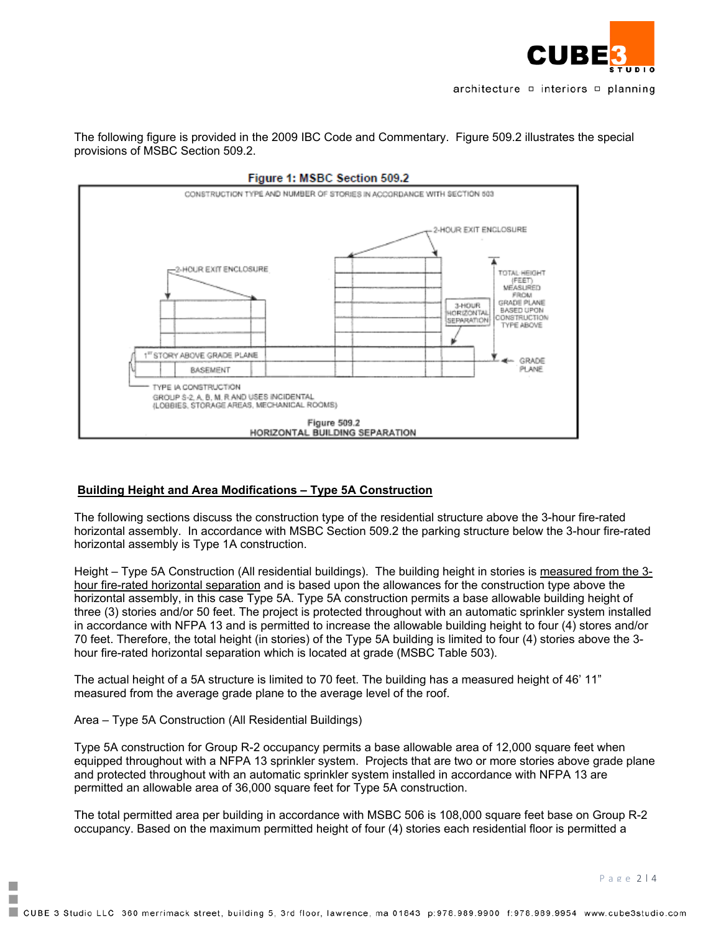

The following figure is provided in the 2009 IBC Code and Commentary. Figure 509.2 illustrates the special provisions of MSBC Section 509.2.



# **Building Height and Area Modifications – Type 5A Construction**

The following sections discuss the construction type of the residential structure above the 3-hour fire-rated horizontal assembly. In accordance with MSBC Section 509.2 the parking structure below the 3-hour fire-rated horizontal assembly is Type 1A construction.

Height – Type 5A Construction (All residential buildings). The building height in stories is measured from the 3 hour fire-rated horizontal separation and is based upon the allowances for the construction type above the horizontal assembly, in this case Type 5A. Type 5A construction permits a base allowable building height of three (3) stories and/or 50 feet. The project is protected throughout with an automatic sprinkler system installed in accordance with NFPA 13 and is permitted to increase the allowable building height to four (4) stores and/or 70 feet. Therefore, the total height (in stories) of the Type 5A building is limited to four (4) stories above the 3 hour fire-rated horizontal separation which is located at grade (MSBC Table 503).

The actual height of a 5A structure is limited to 70 feet. The building has a measured height of 46' 11" measured from the average grade plane to the average level of the roof.

Area – Type 5A Construction (All Residential Buildings)

F. п Type 5A construction for Group R-2 occupancy permits a base allowable area of 12,000 square feet when equipped throughout with a NFPA 13 sprinkler system. Projects that are two or more stories above grade plane and protected throughout with an automatic sprinkler system installed in accordance with NFPA 13 are permitted an allowable area of 36,000 square feet for Type 5A construction.

The total permitted area per building in accordance with MSBC 506 is 108,000 square feet base on Group R-2 occupancy. Based on the maximum permitted height of four (4) stories each residential floor is permitted a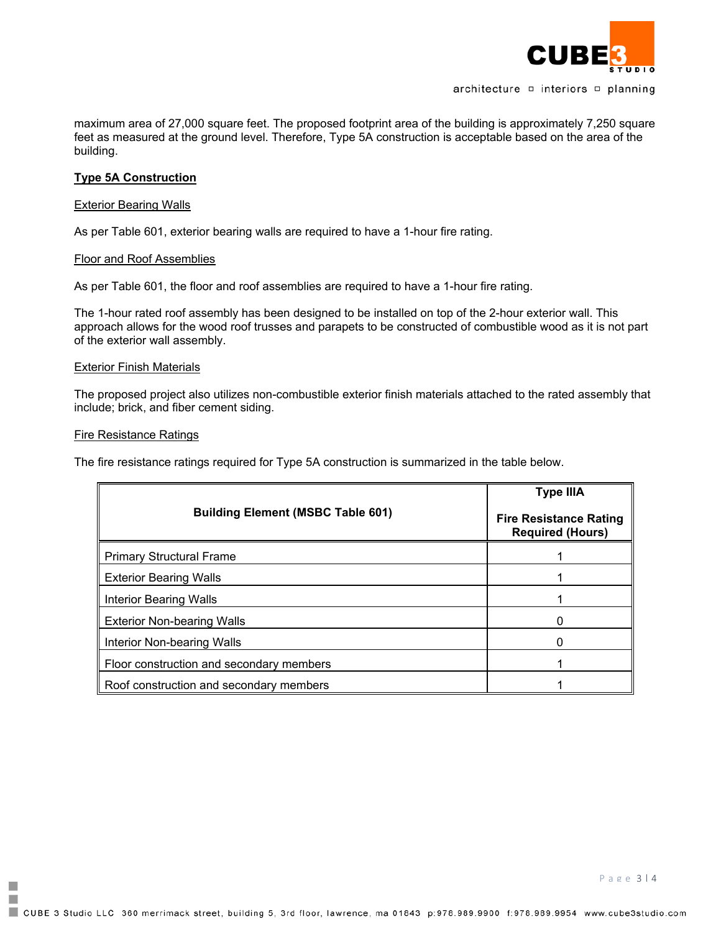

architecture  $\Box$  interiors  $\Box$  planning

maximum area of 27,000 square feet. The proposed footprint area of the building is approximately 7,250 square feet as measured at the ground level. Therefore, Type 5A construction is acceptable based on the area of the building.

## **Type 5A Construction**

## Exterior Bearing Walls

As per Table 601, exterior bearing walls are required to have a 1-hour fire rating.

## Floor and Roof Assemblies

As per Table 601, the floor and roof assemblies are required to have a 1-hour fire rating.

The 1-hour rated roof assembly has been designed to be installed on top of the 2-hour exterior wall. This approach allows for the wood roof trusses and parapets to be constructed of combustible wood as it is not part of the exterior wall assembly.

## **Exterior Finish Materials**

The proposed project also utilizes non-combustible exterior finish materials attached to the rated assembly that include; brick, and fiber cement siding.

## Fire Resistance Ratings

F. П The fire resistance ratings required for Type 5A construction is summarized in the table below.

|                                          | <b>Type IIIA</b>                                         |
|------------------------------------------|----------------------------------------------------------|
| <b>Building Element (MSBC Table 601)</b> | <b>Fire Resistance Rating</b><br><b>Required (Hours)</b> |
| <b>Primary Structural Frame</b>          |                                                          |
| <b>Exterior Bearing Walls</b>            |                                                          |
| <b>Interior Bearing Walls</b>            |                                                          |
| <b>Exterior Non-bearing Walls</b>        |                                                          |
| Interior Non-bearing Walls               | $\Omega$                                                 |
| Floor construction and secondary members |                                                          |
| Roof construction and secondary members  |                                                          |